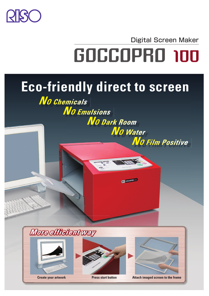

Digital Screen Maker

**No Film Positive** 

# **GOCCOPRO 100**

**GBO** GOCCO

# **Eco-friendly direct to screen**

**No Emulsions No Dark Room** No Water

No Chemicals





**Create your artwork Press start button Attach imaged screen to the frame**